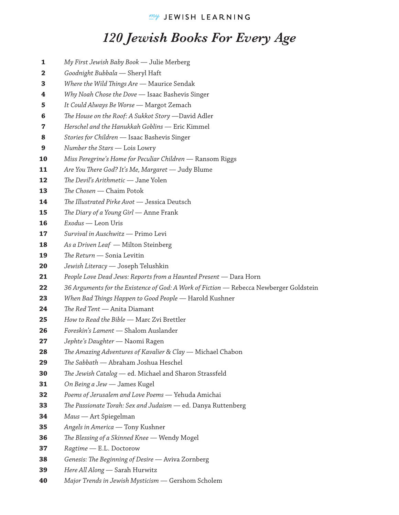## *120 Jewish Books For Every Age*

- *My First Jewish Baby Book*  Julie Merberg **1**
- *Goodnight Bubbala*  Sheryl Haft **2**
- *Where the Wild Things Are* Maurice Sendak **3**
- *Why Noah Chose the Dove*  Isaac Bashevis Singer **4**
- *It Could Always Be Worse*  Margot Zemach **5**
- *e House on the Roof: A Sukkot Story* —David Adler **6**
- *Herschel and the Hanukkah Goblins*  Eric Kimmel **7**
- *Stories for Children*  Isaac Bashevis Singer **8**
- *Number the Stars*  Lois Lowry **9**
- *Miss Peregrine's Home for Peculiar Children*  Ransom Riggs **10**
- Are You There God? It's Me, Margaret Judy Blume **11**
- *e Devil's Arithmetic*  Jane Yolen **12**
- *e Chosen*  Chaim Potok **13**
- *e Illustrated Pirke Avot*  Jessica Deutsch **14**
- *e Diary of a Young Girl*  Anne Frank **15**
- *Exodus*  Leon Uris **16**
- *Survival in Auschwitz*  Primo Levi **17**
- *As a Driven Leaf*  Milton Steinberg **18**
- *e Return*  Sonia Levitin **19**
- *Jewish Literacy*  Joseph Telushkin **20**
- *People Love Dead Jews: Reports from a Haunted Present*  Dara Horn **21**
- 36 Arguments for the Existence of God: A Work of Fiction Rebecca Newberger Goldstein **22**
- *When Bad ings Happen to Good People*  Harold Kushner **23**
- *e Red Tent*  Anita Diamant **24**
- *How to Read the Bible*  Marc Zvi Brettler **25**
- *Foreskin's Lament*  Shalom Auslander **26**
- *Jephte's Daughter*  Naomi Ragen **27**
- *e Amazing Adventures of Kavalier & Clay*  Michael Chabon **28**
- *e Sabbath*  Abraham Joshua Heschel **29**
- The Jewish Catalog ed. Michael and Sharon Strassfeld **30**
- *On Being a Jew*  James Kugel **31**
- *Poems of Jerusalem and Love Poems*  Yehuda Amichai **32**
- *e Passionate Torah: Sex and Judaism*  ed. Danya Ruttenberg **33**
- *Maus*  Art Spiegelman **34**
- *Angels in America*  Tony Kushner **35**
- *e Blessing of a Skinned Knee*  Wendy Mogel **36**
- *Ragtime*  E.L. Doctorow **37**
- Genesis: The Beginning of Desire Aviva Zornberg **38**
- *Here All Along*  Sarah Hurwitz **39**
- *Major Trends in Jewish Mysticism*  Gershom Scholem **40**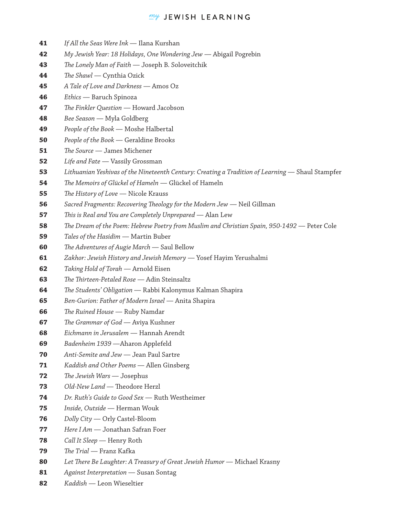## $m$ <sup>y</sup> JEWISH LEARNING

- *If All the Seas Were Ink*  Ilana Kurshan **41**
- *My Jewish Year: 18 Holidays, One Wondering Jew* Abigail Pogrebin **42**
- *e Lonely Man of Faith* Joseph B. Soloveitchik **43**
- *e Shawl* Cynthia Ozick **44**
- *A Tale of Love and Darkness* Amos Oz **45**
- *Ethics* Baruch Spinoza **46**
- *e Finkler Question* Howard Jacobson **47**
- *Bee Season*  Myla Goldberg **48**
- *People of the Book* Moshe Halbertal **49**
- *People of the Book* Geraldine Brooks **50**
- *e Source* James Michener **51**
- *Life and Fate* Vassily Grossman **52**
- *Lithuanian Yeshivas of the Nineteenth Century: Creating a Tradition of Learning* Shaul Stampfer **53**
- *e Memoirs of Glückel of Hameln* Glückel of Hameln **54**
- *e History of Love* Nicole Krauss **55**
- *Sacred Fragments: Recovering Theology for the Modern Jew* Neil Gillman **56**
- *is is Real and You are Completely Unprepared* Alan Lew **57**
- The Dream of the Poem: Hebrew Poetry from Muslim and Christian Spain, 950-1492 Peter Cole **58**
- *Tales of the Hasidim* Martin Buber **59**
- *e Adventures of Augie March*  Saul Bellow **60**
- *Zakhor: Jewish History and Jewish Memory* Yosef Hayim Yerushalmi **61**
- *Taking Hold of Torah* Arnold Eisen **62**
- **The Thirteen-Petaled Rose** Adin Steinsaltz **63**
- *e Students' Obligation*  Rabbi Kalonymus Kalman Shapira **64**
- *Ben-Gurion: Father of Modern Israel* Anita Shapira **65**
- *e Ruined House* Ruby Namdar **66**
- *e Grammar of God*  Aviya Kushner **67**
- *Eichmann in Jerusalem* Hannah Arendt **68**
- *Badenheim 1939* —Aharon Applefeld **69**
- *Anti-Semite and Jew*  Jean Paul Sartre **70**
- *Kaddish and Other Poems*  Allen Ginsberg **71**
- *e Jewish Wars*  Josephus **72**
- *Old-New Land* Theodore Herzl **73**
- *Dr. Ruth's Guide to Good Sex* Ruth Westheimer **74**
- *Inside, Outside*  Herman Wouk **75**
- *Dolly City* Orly Castel-Bloom **76**
- *Here I Am* Jonathan Safran Foer **77**
- *Call It Sleep*  Henry Roth **78**
- *e Trial* Franz Kafka **79**
- Let There Be Laughter: A Treasury of Great Jewish Humor Michael Krasny **80**
- *Against Interpretation*  Susan Sontag **81**
- *Kaddish* Leon Wieseltier **82**